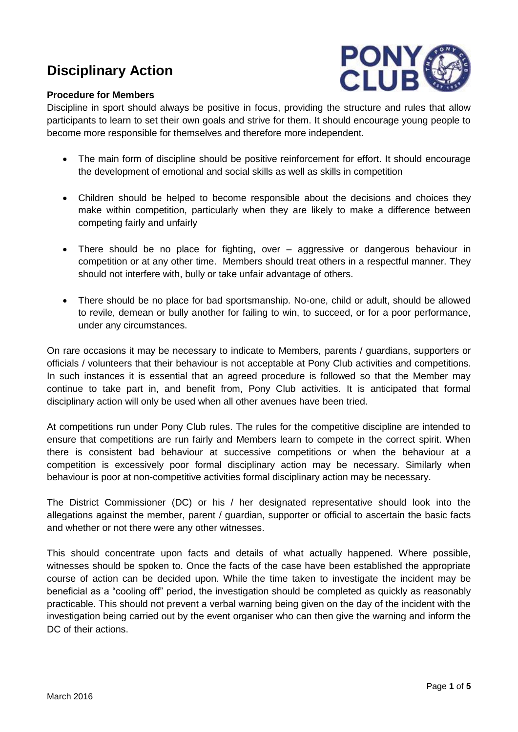# **Disciplinary Action**



#### **Procedure for Members**

Discipline in sport should always be positive in focus, providing the structure and rules that allow participants to learn to set their own goals and strive for them. It should encourage young people to become more responsible for themselves and therefore more independent.

- The main form of discipline should be positive reinforcement for effort. It should encourage the development of emotional and social skills as well as skills in competition
- Children should be helped to become responsible about the decisions and choices they make within competition, particularly when they are likely to make a difference between competing fairly and unfairly
- There should be no place for fighting, over aggressive or dangerous behaviour in competition or at any other time. Members should treat others in a respectful manner. They should not interfere with, bully or take unfair advantage of others.
- There should be no place for bad sportsmanship. No-one, child or adult, should be allowed to revile, demean or bully another for failing to win, to succeed, or for a poor performance, under any circumstances.

On rare occasions it may be necessary to indicate to Members, parents / guardians, supporters or officials / volunteers that their behaviour is not acceptable at Pony Club activities and competitions. In such instances it is essential that an agreed procedure is followed so that the Member may continue to take part in, and benefit from, Pony Club activities. It is anticipated that formal disciplinary action will only be used when all other avenues have been tried.

At competitions run under Pony Club rules. The rules for the competitive discipline are intended to ensure that competitions are run fairly and Members learn to compete in the correct spirit. When there is consistent bad behaviour at successive competitions or when the behaviour at a competition is excessively poor formal disciplinary action may be necessary. Similarly when behaviour is poor at non-competitive activities formal disciplinary action may be necessary.

The District Commissioner (DC) or his / her designated representative should look into the allegations against the member, parent / guardian, supporter or official to ascertain the basic facts and whether or not there were any other witnesses.

This should concentrate upon facts and details of what actually happened. Where possible, witnesses should be spoken to. Once the facts of the case have been established the appropriate course of action can be decided upon. While the time taken to investigate the incident may be beneficial as a "cooling off" period, the investigation should be completed as quickly as reasonably practicable. This should not prevent a verbal warning being given on the day of the incident with the investigation being carried out by the event organiser who can then give the warning and inform the DC of their actions.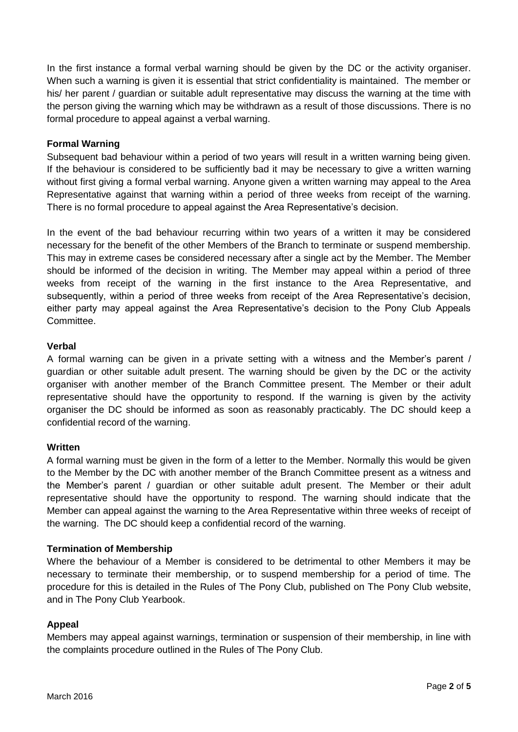In the first instance a formal verbal warning should be given by the DC or the activity organiser. When such a warning is given it is essential that strict confidentiality is maintained. The member or his/ her parent / guardian or suitable adult representative may discuss the warning at the time with the person giving the warning which may be withdrawn as a result of those discussions. There is no formal procedure to appeal against a verbal warning.

#### **Formal Warning**

Subsequent bad behaviour within a period of two years will result in a written warning being given. If the behaviour is considered to be sufficiently bad it may be necessary to give a written warning without first giving a formal verbal warning. Anyone given a written warning may appeal to the Area Representative against that warning within a period of three weeks from receipt of the warning. There is no formal procedure to appeal against the Area Representative's decision.

In the event of the bad behaviour recurring within two years of a written it may be considered necessary for the benefit of the other Members of the Branch to terminate or suspend membership. This may in extreme cases be considered necessary after a single act by the Member. The Member should be informed of the decision in writing. The Member may appeal within a period of three weeks from receipt of the warning in the first instance to the Area Representative, and subsequently, within a period of three weeks from receipt of the Area Representative's decision, either party may appeal against the Area Representative's decision to the Pony Club Appeals Committee.

#### **Verbal**

A formal warning can be given in a private setting with a witness and the Member's parent / guardian or other suitable adult present. The warning should be given by the DC or the activity organiser with another member of the Branch Committee present. The Member or their adult representative should have the opportunity to respond. If the warning is given by the activity organiser the DC should be informed as soon as reasonably practicably. The DC should keep a confidential record of the warning.

#### **Written**

A formal warning must be given in the form of a letter to the Member. Normally this would be given to the Member by the DC with another member of the Branch Committee present as a witness and the Member's parent / guardian or other suitable adult present. The Member or their adult representative should have the opportunity to respond. The warning should indicate that the Member can appeal against the warning to the Area Representative within three weeks of receipt of the warning. The DC should keep a confidential record of the warning.

#### **Termination of Membership**

Where the behaviour of a Member is considered to be detrimental to other Members it may be necessary to terminate their membership, or to suspend membership for a period of time. The procedure for this is detailed in the Rules of The Pony Club, published on The Pony Club website, and in The Pony Club Yearbook.

## **Appeal**

Members may appeal against warnings, termination or suspension of their membership, in line with the complaints procedure outlined in the Rules of The Pony Club.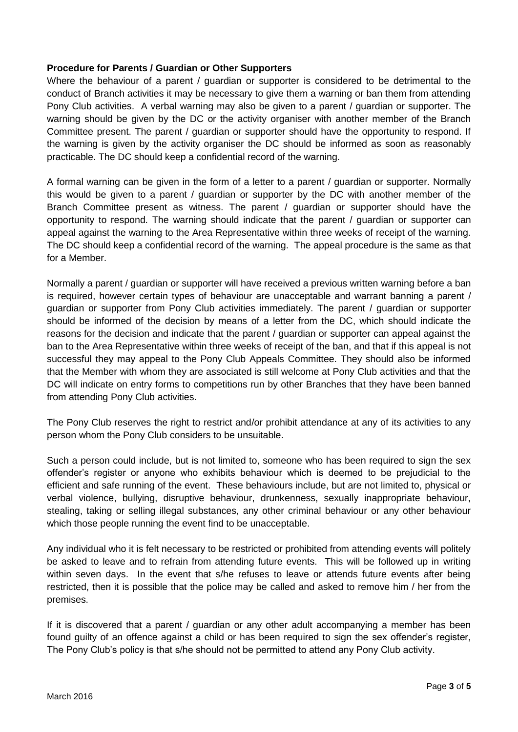#### **Procedure for Parents / Guardian or Other Supporters**

Where the behaviour of a parent / guardian or supporter is considered to be detrimental to the conduct of Branch activities it may be necessary to give them a warning or ban them from attending Pony Club activities. A verbal warning may also be given to a parent / guardian or supporter. The warning should be given by the DC or the activity organiser with another member of the Branch Committee present. The parent / guardian or supporter should have the opportunity to respond. If the warning is given by the activity organiser the DC should be informed as soon as reasonably practicable. The DC should keep a confidential record of the warning.

A formal warning can be given in the form of a letter to a parent / guardian or supporter. Normally this would be given to a parent / guardian or supporter by the DC with another member of the Branch Committee present as witness. The parent / guardian or supporter should have the opportunity to respond. The warning should indicate that the parent / guardian or supporter can appeal against the warning to the Area Representative within three weeks of receipt of the warning. The DC should keep a confidential record of the warning. The appeal procedure is the same as that for a Member.

Normally a parent / guardian or supporter will have received a previous written warning before a ban is required, however certain types of behaviour are unacceptable and warrant banning a parent / guardian or supporter from Pony Club activities immediately. The parent / guardian or supporter should be informed of the decision by means of a letter from the DC, which should indicate the reasons for the decision and indicate that the parent / guardian or supporter can appeal against the ban to the Area Representative within three weeks of receipt of the ban, and that if this appeal is not successful they may appeal to the Pony Club Appeals Committee. They should also be informed that the Member with whom they are associated is still welcome at Pony Club activities and that the DC will indicate on entry forms to competitions run by other Branches that they have been banned from attending Pony Club activities.

The Pony Club reserves the right to restrict and/or prohibit attendance at any of its activities to any person whom the Pony Club considers to be unsuitable.

Such a person could include, but is not limited to, someone who has been required to sign the sex offender's register or anyone who exhibits behaviour which is deemed to be prejudicial to the efficient and safe running of the event. These behaviours include, but are not limited to, physical or verbal violence, bullying, disruptive behaviour, drunkenness, sexually inappropriate behaviour, stealing, taking or selling illegal substances, any other criminal behaviour or any other behaviour which those people running the event find to be unacceptable.

Any individual who it is felt necessary to be restricted or prohibited from attending events will politely be asked to leave and to refrain from attending future events. This will be followed up in writing within seven days. In the event that s/he refuses to leave or attends future events after being restricted, then it is possible that the police may be called and asked to remove him / her from the premises.

If it is discovered that a parent / guardian or any other adult accompanying a member has been found guilty of an offence against a child or has been required to sign the sex offender's register, The Pony Club's policy is that s/he should not be permitted to attend any Pony Club activity.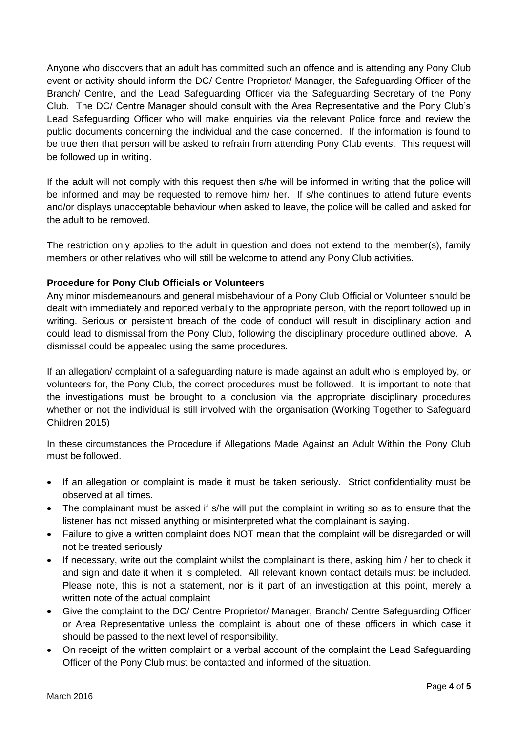Anyone who discovers that an adult has committed such an offence and is attending any Pony Club event or activity should inform the DC/ Centre Proprietor/ Manager, the Safeguarding Officer of the Branch/ Centre, and the Lead Safeguarding Officer via the Safeguarding Secretary of the Pony Club. The DC/ Centre Manager should consult with the Area Representative and the Pony Club's Lead Safeguarding Officer who will make enquiries via the relevant Police force and review the public documents concerning the individual and the case concerned. If the information is found to be true then that person will be asked to refrain from attending Pony Club events. This request will be followed up in writing.

If the adult will not comply with this request then s/he will be informed in writing that the police will be informed and may be requested to remove him/ her. If s/he continues to attend future events and/or displays unacceptable behaviour when asked to leave, the police will be called and asked for the adult to be removed.

The restriction only applies to the adult in question and does not extend to the member(s), family members or other relatives who will still be welcome to attend any Pony Club activities.

### **Procedure for Pony Club Officials or Volunteers**

Any minor misdemeanours and general misbehaviour of a Pony Club Official or Volunteer should be dealt with immediately and reported verbally to the appropriate person, with the report followed up in writing. Serious or persistent breach of the code of conduct will result in disciplinary action and could lead to dismissal from the Pony Club, following the disciplinary procedure outlined above. A dismissal could be appealed using the same procedures.

If an allegation/ complaint of a safeguarding nature is made against an adult who is employed by, or volunteers for, the Pony Club, the correct procedures must be followed. It is important to note that the investigations must be brought to a conclusion via the appropriate disciplinary procedures whether or not the individual is still involved with the organisation (Working Together to Safeguard Children 2015)

In these circumstances the Procedure if Allegations Made Against an Adult Within the Pony Club must be followed.

- If an allegation or complaint is made it must be taken seriously. Strict confidentiality must be observed at all times.
- The complainant must be asked if s/he will put the complaint in writing so as to ensure that the listener has not missed anything or misinterpreted what the complainant is saying.
- Failure to give a written complaint does NOT mean that the complaint will be disregarded or will not be treated seriously
- If necessary, write out the complaint whilst the complainant is there, asking him / her to check it and sign and date it when it is completed. All relevant known contact details must be included. Please note, this is not a statement, nor is it part of an investigation at this point, merely a written note of the actual complaint
- Give the complaint to the DC/ Centre Proprietor/ Manager, Branch/ Centre Safeguarding Officer or Area Representative unless the complaint is about one of these officers in which case it should be passed to the next level of responsibility.
- On receipt of the written complaint or a verbal account of the complaint the Lead Safeguarding Officer of the Pony Club must be contacted and informed of the situation.